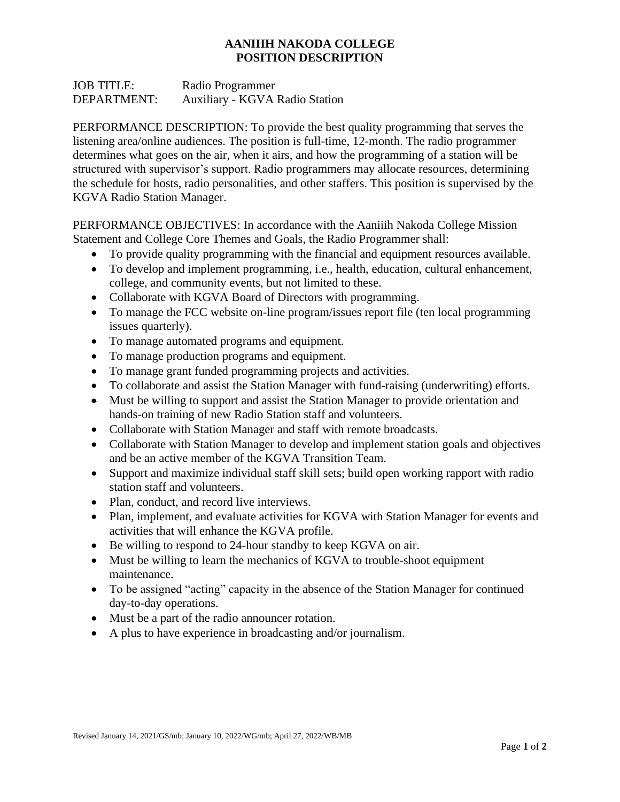## **AANIIIH NAKODA COLLEGE POSITION DESCRIPTION**

JOB TITLE: Radio Programmer DEPARTMENT: Auxiliary - KGVA Radio Station

PERFORMANCE DESCRIPTION: To provide the best quality programming that serves the listening area/online audiences. The position is full-time, 12-month. The radio programmer determines what goes on the air, when it airs, and how the programming of a station will be structured with supervisor's support. Radio programmers may allocate resources, determining the schedule for hosts, radio personalities, and other staffers. This position is supervised by the KGVA Radio Station Manager.

PERFORMANCE OBJECTIVES: In accordance with the Aaniiih Nakoda College Mission Statement and College Core Themes and Goals, the Radio Programmer shall:

- To provide quality programming with the financial and equipment resources available.
- To develop and implement programming, i.e., health, education, cultural enhancement, college, and community events, but not limited to these.
- Collaborate with KGVA Board of Directors with programming.
- To manage the FCC website on-line program/issues report file (ten local programming issues quarterly).
- To manage automated programs and equipment.
- To manage production programs and equipment.
- To manage grant funded programming projects and activities.
- To collaborate and assist the Station Manager with fund-raising (underwriting) efforts.
- Must be willing to support and assist the Station Manager to provide orientation and hands-on training of new Radio Station staff and volunteers.
- Collaborate with Station Manager and staff with remote broadcasts.
- Collaborate with Station Manager to develop and implement station goals and objectives and be an active member of the KGVA Transition Team.
- Support and maximize individual staff skill sets; build open working rapport with radio station staff and volunteers.
- Plan, conduct, and record live interviews.
- Plan, implement, and evaluate activities for KGVA with Station Manager for events and activities that will enhance the KGVA profile.
- Be willing to respond to 24-hour standby to keep KGVA on air.
- Must be willing to learn the mechanics of KGVA to trouble-shoot equipment maintenance.
- To be assigned "acting" capacity in the absence of the Station Manager for continued day-to-day operations.
- Must be a part of the radio announcer rotation.
- A plus to have experience in broadcasting and/or journalism.